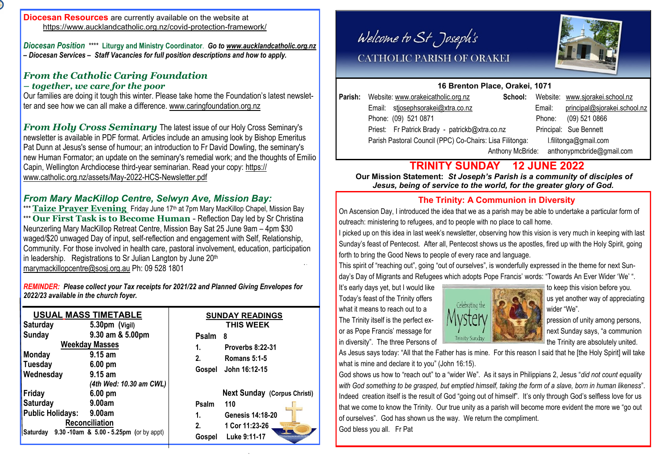*Diocesan Position*\*\*\*\* **Liturgy and Ministry Coordinator**. *Go to [www.aucklandcatholic.org.nz](http://www.aucklandcatholic.org.nz) – Diocesan Services – Staff Vacancies for full position descriptions and how to apply.*

### *From the Catholic Caring Foundation – together, we care for the poor*

Our families are doing it tough this winter. Please take home the Foundation's latest newsletter and see how we can all make a difference. [www.caringfoundation.org.nz](http://www.caringfoundation.org.nz)

*From Holy Cross Seminary* The latest issue of our Holy Cross Seminary's newsletter is available in PDF format. Articles include an amusing look by Bishop Emeritus Pat Dunn at Jesus's sense of humour; an introduction to Fr David Dowling, the seminary's new Human Formator; an update on the seminary's remedial work; and the thoughts of Emilio Capin, Wellington Archdiocese third-year seminarian. Read your copy: [https://](https://www.catholic.org.nz/assets/May-2022-HCS-Newsletter.pdf) [www.catholic.org.nz/assets/May-2022-HCS-Newsletter.pdf](https://www.catholic.org.nz/assets/May-2022-HCS-Newsletter.pdf)

## *From Mary MacKillop Centre, Selwyn Ave, Mission Bay:*

\*\*\* **Taize Prayer Evening** Friday June 17<sup>th</sup> at 7pm Mary MacKillop Chapel, Mission Bay \*\*\* **Our First Task is to Become Human** - Reflection Day led by Sr Christina Neunzerling Mary MacKillop Retreat Centre, Mission Bay Sat 25 June 9am – 4pm \$30 waged/\$20 unwaged Day of input, self-reflection and engagement with Self, Relationship, Community. For those involved in health care, pastoral involvement, education, participation in leadership. Registrations to Sr Julian Langton by June 20<sup>th</sup> [marymackillopcentre@sosj.org.au](mailto:marymackillopcentre@sosj.org.au) Ph: 09 528 1801

*REMINDER: Please collect your Tax receipts for 2021/22 and Planned Giving Envelopes for 2022/23 available in the church foyer.*

|                     |                         | <b>USUAL MASS TIMETABLE</b>                  | <b>SUNDAY READINGS</b>              |                         |  |  |
|---------------------|-------------------------|----------------------------------------------|-------------------------------------|-------------------------|--|--|
|                     | <b>Saturday</b>         | $5.30pm$ (Vigil)                             |                                     | THIS WEEK               |  |  |
|                     | Sunday                  | 9.30 am & 5.00pm                             | <b>Psalm</b>                        | - 8                     |  |  |
|                     | <b>Weekday Masses</b>   |                                              | 1.                                  | Proverbs 8:22-31        |  |  |
|                     | <b>Monday</b>           | $9.15$ am                                    | 2.                                  | <b>Romans 5:1-5</b>     |  |  |
|                     | <b>Tuesday</b>          | $6.00 \text{ pm}$                            | Gospel                              | John 16:12-15           |  |  |
| Wednesday<br>Friday |                         | $9.15$ am                                    |                                     |                         |  |  |
|                     |                         | (4th Wed: 10.30 am CWL)<br>$6.00 \text{ pm}$ | <b>Next Sunday (Corpus Christi)</b> |                         |  |  |
|                     | <b>Saturday</b>         | 9.00am                                       | Psalm                               | 110                     |  |  |
|                     | <b>Public Holidays:</b> | 9.00am                                       | 1.                                  | <b>Genesis 14:18-20</b> |  |  |
| Reconciliation      |                         |                                              | 2.                                  | 1 Cor 11:23-26          |  |  |
|                     | Saturday                | 9.30 -10am & 5.00 - 5.25pm (or by appt)      | Gospel                              | Luke 9:11-17            |  |  |
|                     |                         |                                              |                                     |                         |  |  |

Welcome to St Joseph's



## CATHOLIC PARISH OF ORAKEI

### **16 Brenton Place, Orakei, 1071**

|                  | Parish: Website: www.orakeicatholic.org.nz               | School:                   |        | Website: www.sjorakei.school.nz |
|------------------|----------------------------------------------------------|---------------------------|--------|---------------------------------|
|                  | Email: stjosephsorakei@xtra.co.nz                        |                           | Email: | principal@sjorakei.school.nz    |
|                  | Phone: (09) 521 0871                                     |                           | Phone: | (09) 521 0866                   |
|                  | Priest: Fr Patrick Brady - patrickb@xtra.co.nz           |                           |        | Principal: Sue Bennett          |
|                  | Parish Pastoral Council (PPC) Co-Chairs: Lisa Filitonga: |                           |        | l.filitonga@gmail.com           |
| Anthony McBride: |                                                          | anthonypmcbride@gmail.com |        |                                 |
|                  |                                                          |                           |        |                                 |

## **TRINITY SUNDAY 12 JUNE 2022**

 **Our Mission Statement:** *St Joseph's Parish is a community of disciples of Jesus, being of service to the world, for the greater glory of God.* 

## **The Trinity: A Communion in Diversity**

On Ascension Day, I introduced the idea that we as a parish may be able to undertake a particular form of outreach: ministering to refugees, and to people with no place to call home.

I picked up on this idea in last week's newsletter, observing how this vision is very much in keeping with last Sunday's feast of Pentecost. After all, Pentecost shows us the apostles, fired up with the Holy Spirit, going forth to bring the Good News to people of every race and language.

This spirit of "reaching out", going "out of ourselves", is wonderfully expressed in the theme for next Sunday's Day of Migrants and Refugees which adopts Pope Francis' words: "Towards An Ever Wider 'We' ".

It's early days yet, but I would like to keep this vision before you.



As Jesus says today: "All that the Father has is mine. For this reason I said that he [the Holy Spirit] will take what is mine and declare it to you" (John 16:15).

God shows us how to "reach out" to a "wider We". As it says in Philippians 2, Jesus "*did not count equality with God something to be grasped, but emptied himself, taking the form of a slave, born in human likeness*". Indeed creation itself is the result of God "going out of himself". It's only through God's selfless love for us that we come to know the Trinity. Our true unity as a parish will become more evident the more we "go out of ourselves". God has shown us the way. We return the compliment. God bless you all. Fr Pat